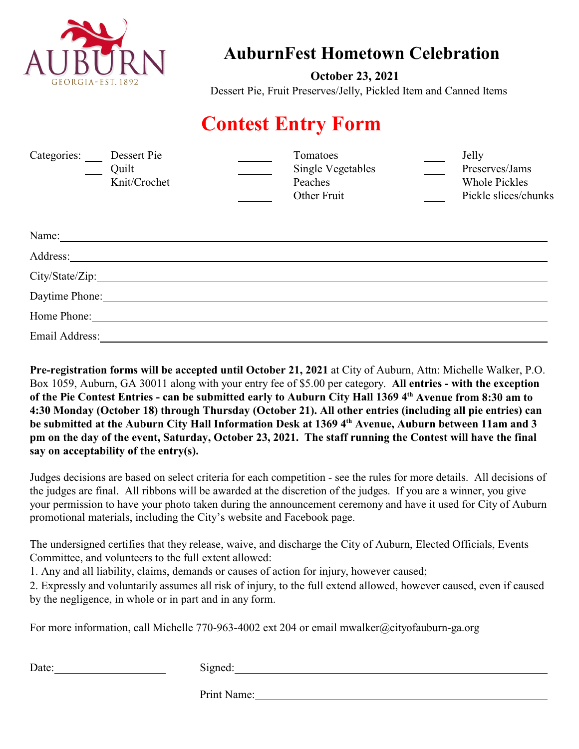

## **AuburnFest Hometown Celebration**

 **October 23, 2021** Dessert Pie, Fruit Preserves/Jelly, Pickled Item and Canned Items

## **Contest Entry Form**

| Categories:<br>Dessert Pie<br>Quilt<br>Knit/Crochet                                                                                                                                                                                                                                                                                                                                                            | Tomatoes<br><b>Single Vegetables</b><br>Peaches<br>Other Fruit | Jelly<br>Preserves/Jams<br><b>Whole Pickles</b><br>Pickle slices/chunks |
|----------------------------------------------------------------------------------------------------------------------------------------------------------------------------------------------------------------------------------------------------------------------------------------------------------------------------------------------------------------------------------------------------------------|----------------------------------------------------------------|-------------------------------------------------------------------------|
| Name: $\frac{1}{\sqrt{1-\frac{1}{2}}\sqrt{1-\frac{1}{2}}\sqrt{1-\frac{1}{2}}\sqrt{1-\frac{1}{2}}\sqrt{1-\frac{1}{2}}\sqrt{1-\frac{1}{2}}\sqrt{1-\frac{1}{2}}\sqrt{1-\frac{1}{2}}\sqrt{1-\frac{1}{2}}\sqrt{1-\frac{1}{2}}\sqrt{1-\frac{1}{2}}\sqrt{1-\frac{1}{2}}\sqrt{1-\frac{1}{2}}\sqrt{1-\frac{1}{2}}\sqrt{1-\frac{1}{2}}\sqrt{1-\frac{1}{2}}\sqrt{1-\frac{1}{2}}\sqrt{1-\frac{1}{2}}\sqrt{1-\frac{1}{2}}\$ |                                                                |                                                                         |
| Address:                                                                                                                                                                                                                                                                                                                                                                                                       |                                                                |                                                                         |
|                                                                                                                                                                                                                                                                                                                                                                                                                |                                                                |                                                                         |
| Daytime Phone:                                                                                                                                                                                                                                                                                                                                                                                                 |                                                                |                                                                         |
| Home Phone:                                                                                                                                                                                                                                                                                                                                                                                                    |                                                                |                                                                         |
| Email Address:                                                                                                                                                                                                                                                                                                                                                                                                 |                                                                |                                                                         |

**Pre-registration forms will be accepted until October 21, 2021** at City of Auburn, Attn: Michelle Walker, P.O. Box 1059, Auburn, GA 30011 along with your entry fee of \$5.00 per category. **All entries - with the exception of the Pie Contest Entries - can be submitted early to Auburn City Hall 1369 4th Avenue from 8:30 am to 4:30 Monday (October 18) through Thursday (October 21). All other entries (including all pie entries) can be submitted at the Auburn City Hall Information Desk at 1369 4th Avenue, Auburn between 11am and 3 pm on the day of the event, Saturday, October 23, 2021. The staff running the Contest will have the final say on acceptability of the entry(s).**

Judges decisions are based on select criteria for each competition - see the rules for more details. All decisions of the judges are final. All ribbons will be awarded at the discretion of the judges. If you are a winner, you give your permission to have your photo taken during the announcement ceremony and have it used for City of Auburn promotional materials, including the City's website and Facebook page.

The undersigned certifies that they release, waive, and discharge the City of Auburn, Elected Officials, Events Committee, and volunteers to the full extent allowed:

1. Any and all liability, claims, demands or causes of action for injury, however caused;

2. Expressly and voluntarily assumes all risk of injury, to the full extend allowed, however caused, even if caused by the negligence, in whole or in part and in any form.

For more information, call Michelle 770-963-4002 ext 204 or email mwalker@cityofauburn-ga.org

Date: Signed: Signed: Signed: Signed: Signed: Signed: Signed: Signed: Signed: Signed: Signed: Signed: Signed: Signed: Signed: Signed: Signed: Signed: Signed: Signed: Signed: Signed: Signed: Signed: Signed: Signed: Signed:

Print Name: